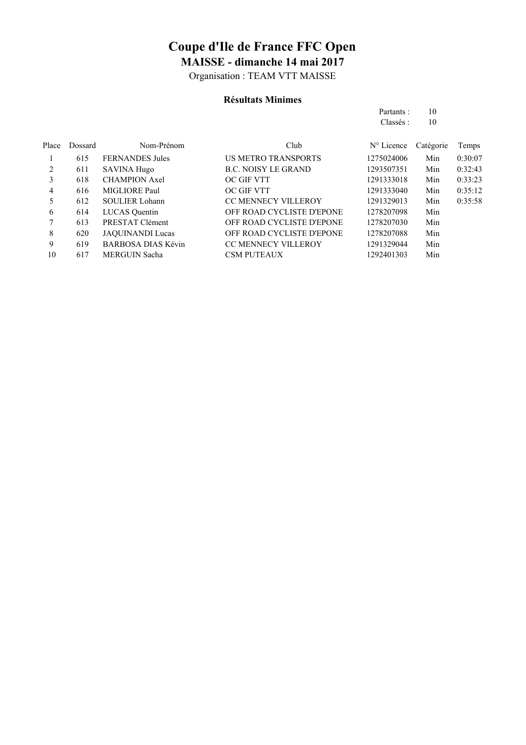Organisation : TEAM VTT MAISSE

#### **Résultats Minimes**

| Partants : | 10 |
|------------|----|
| Classés :  | 10 |

| Place | Dossard | Nom-Prénom                | Club                       | $N^{\circ}$ Licence | Catégorie | Temps   |
|-------|---------|---------------------------|----------------------------|---------------------|-----------|---------|
|       | 615     | <b>FERNANDES</b> Jules    | <b>US METRO TRANSPORTS</b> | 1275024006          | Min       | 0:30:07 |
| 2     | 611     | <b>SAVINA Hugo</b>        | <b>B.C. NOISY LE GRAND</b> | 1293507351          | Min       | 0:32:43 |
| 3     | 618     | <b>CHAMPION Axel</b>      | <b>OC GIF VTT</b>          | 1291333018          | Min       | 0:33:23 |
| 4     | 616     | MIGLIORE Paul             | OC GIF VTT                 | 1291333040          | Min       | 0:35:12 |
| 5     | 612     | <b>SOULIER Lohann</b>     | <b>CC MENNECY VILLEROY</b> | 1291329013          | Min       | 0:35:58 |
| 6     | 614     | <b>LUCAS</b> Quentin      | OFF ROAD CYCLISTE D'EPONE  | 1278207098          | Min       |         |
|       | 613     | PRESTAT Clément           | OFF ROAD CYCLISTE D'EPONE  | 1278207030          | Min       |         |
| 8     | 620     | <b>JAQUINANDI Lucas</b>   | OFF ROAD CYCLISTE D'EPONE  | 1278207088          | Min       |         |
| 9     | 619     | <b>BARBOSA DIAS Kévin</b> | <b>CC MENNECY VILLEROY</b> | 1291329044          | Min       |         |
| 10    | 617     | <b>MERGUIN Sacha</b>      | <b>CSM PUTEAUX</b>         | 1292401303          | Min       |         |
|       |         |                           |                            |                     |           |         |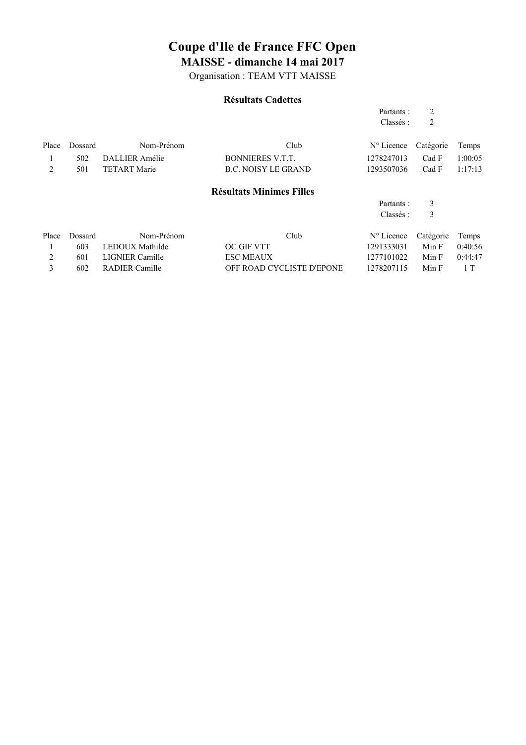Organisation : TEAM VTT MAISSE

#### **Résultats Cadettes**

|       |         |                        |                                 | Partants :          | 2         |         |
|-------|---------|------------------------|---------------------------------|---------------------|-----------|---------|
|       |         |                        |                                 | Classés :           | 2         |         |
| Place | Dossard | Nom-Prénom             | Club                            | $N^{\circ}$ Licence | Catégorie | Temps   |
|       | 502     | DALLIER Amélie         | <b>BONNIERES V.T.T.</b>         | 1278247013          | Cad F     | 1:00:05 |
| 2     | 501     | <b>TETART Marie</b>    | <b>B.C. NOISY LE GRAND</b>      | 1293507036          | Cad F     | 1:17:13 |
|       |         |                        | <b>Résultats Minimes Filles</b> |                     |           |         |
|       |         |                        |                                 | Partants:           | 3         |         |
|       |         |                        |                                 | Classés :           | 3         |         |
| Place | Dossard | Nom-Prénom             | Club                            | $N^{\circ}$ Licence | Catégorie | Temps   |
|       | 603     | LEDOUX Mathilde        | <b>OC GIF VTT</b>               | 1291333031          | Min F     | 0:40:56 |
| 2     | 601     | <b>LIGNIER Camille</b> | <b>ESC MEAUX</b>                | 1277101022          | Min F     | 0:44:47 |
| 3     | 602     | <b>RADIER Camille</b>  | OFF ROAD CYCLISTE D'EPONE       | 1278207115          | Min F     | 1 T     |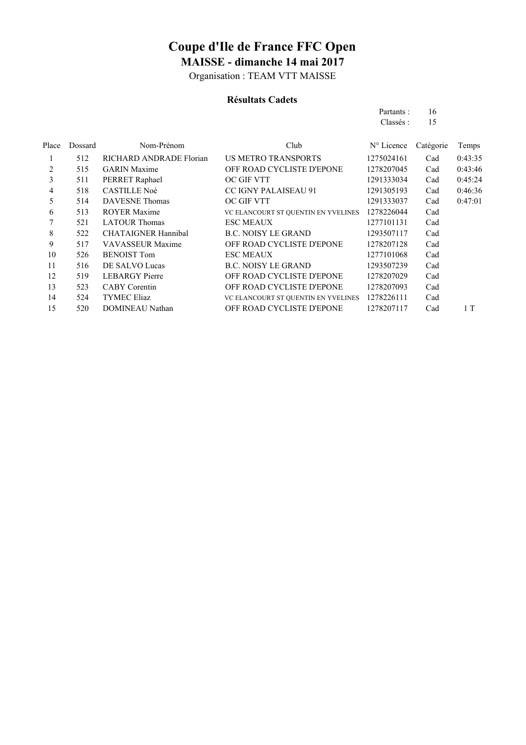Organisation : TEAM VTT MAISSE

#### **Résultats Cadets**

| Partants: | 16 |
|-----------|----|
| Classés : | 15 |

| Place | Dossard | Nom-Prénom                 | Club                                | N° Licence | Catégorie | Temps   |
|-------|---------|----------------------------|-------------------------------------|------------|-----------|---------|
| 1     | 512     | RICHARD ANDRADE Florian    | <b>US METRO TRANSPORTS</b>          | 1275024161 | Cad       | 0:43:35 |
| 2     | 515     | <b>GARIN</b> Maxime        | OFF ROAD CYCLISTE D'EPONE           | 1278207045 | Cad       | 0:43:46 |
| 3     | 511     | PERRET Raphael             | <b>OC GIF VTT</b>                   | 1291333034 | Cad       | 0:45:24 |
| 4     | 518     | <b>CASTILLE Noé</b>        | <b>CC IGNY PALAISEAU 91</b>         | 1291305193 | Cad       | 0:46:36 |
| 5     | 514     | <b>DAVESNE</b> Thomas      | OC GIF VTT                          | 1291333037 | Cad       | 0:47:01 |
| 6     | 513     | <b>ROYER Maxime</b>        | VC ELANCOURT ST QUENTIN EN YVELINES | 1278226044 | Cad       |         |
|       | 521     | <b>LATOUR Thomas</b>       | <b>ESC MEAUX</b>                    | 1277101131 | Cad       |         |
| 8     | 522     | <b>CHATAIGNER Hannibal</b> | <b>B.C. NOISY LE GRAND</b>          | 1293507117 | Cad       |         |
| 9     | 517     | <b>VAVASSEUR Maxime</b>    | OFF ROAD CYCLISTE D'EPONE           | 1278207128 | Cad       |         |
| 10    | 526     | <b>BENOIST Tom</b>         | <b>ESC MEAUX</b>                    | 1277101068 | Cad       |         |
| 11    | 516     | DE SALVO Lucas             | <b>B.C. NOISY LE GRAND</b>          | 1293507239 | Cad       |         |
| 12    | 519     | <b>LEBARGY</b> Pierre      | OFF ROAD CYCLISTE D'EPONE           | 1278207029 | Cad       |         |
| 13    | 523     | <b>CABY</b> Corentin       | OFF ROAD CYCLISTE D'EPONE           | 1278207093 | Cad       |         |
| 14    | 524     | <b>TYMEC Eliaz</b>         | VC ELANCOURT ST QUENTIN EN YVELINES | 1278226111 | Cad       |         |
| 15    | 520     | <b>DOMINEAU Nathan</b>     | OFF ROAD CYCLISTE D'EPONE           | 1278207117 | Cad       | 1T      |
|       |         |                            |                                     |            |           |         |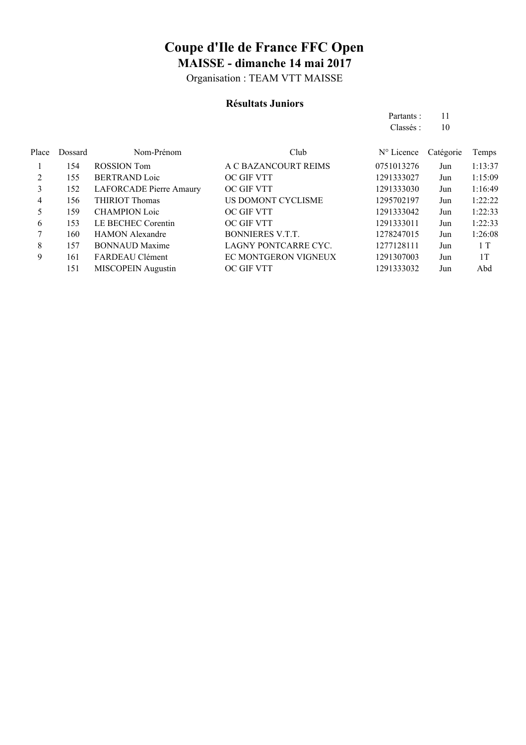Organisation : TEAM VTT MAISSE

#### **Résultats Juniors**

|       |         |                                |                         | Partants:  | 11        |         |
|-------|---------|--------------------------------|-------------------------|------------|-----------|---------|
|       |         |                                |                         | Classés:   | 10        |         |
| Place | Dossard | Nom-Prénom                     | Club                    | N° Licence | Catégorie | Temps   |
|       | 154     | <b>ROSSION</b> Tom             | A C BAZANCOURT REIMS    | 0751013276 | Jun       | 1:13:37 |
| 2     | 155     | <b>BERTRAND Loic</b>           | OC GIF VTT              | 1291333027 | Jun       | 1:15:09 |
| 3     | 152     | <b>LAFORCADE Pierre Amaury</b> | OC GIF VTT              | 1291333030 | Jun       | 1:16:49 |
| 4     | 156     | <b>THIRIOT Thomas</b>          | US DOMONT CYCLISME      | 1295702197 | Jun       | 1:22:22 |
| 5     | 159     | <b>CHAMPION Loic</b>           | OC GIF VTT              | 1291333042 | Jun       | 1:22:33 |
| 6     | 153     | LE BECHEC Corentin             | OC GIF VTT              | 1291333011 | Jun       | 1:22:33 |
|       | 160     | <b>HAMON</b> Alexandre         | <b>BONNIERES V.T.T.</b> | 1278247015 | Jun       | 1:26:08 |
| 8     | 157     | <b>BONNAUD Maxime</b>          | LAGNY PONTCARRE CYC.    | 1277128111 | Jun       | 1 T     |
| 9     | 161     | FARDEAU Clément                | EC MONTGERON VIGNEUX    | 1291307003 | Jun       | 1T      |
|       | 151     | MISCOPEIN Augustin             | OC GIF VTT              | 1291333032 | Jun       | Abd     |
|       |         |                                |                         |            |           |         |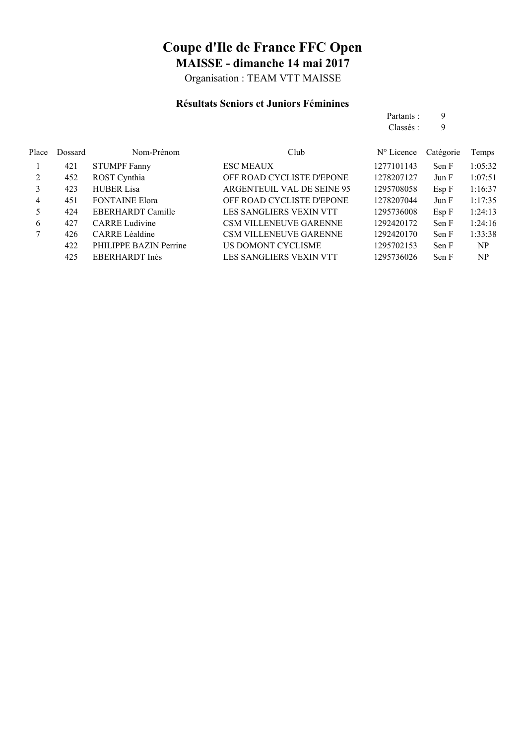Organisation : TEAM VTT MAISSE

#### **Résultats Seniors et Juniors Féminines**

|       |         |                          |                                  | Partants:           | 9         |         |
|-------|---------|--------------------------|----------------------------------|---------------------|-----------|---------|
|       |         |                          |                                  | Classés :           | 9         |         |
| Place | Dossard | Nom-Prénom               | Club                             | $N^{\circ}$ Licence | Catégorie | Temps   |
| 1     | 421     | <b>STUMPF Fanny</b>      | <b>ESC MEAUX</b>                 | 1277101143          | Sen F     | 1:05:32 |
| 2     | 452     | ROST Cynthia             | OFF ROAD CYCLISTE D'EPONE        | 1278207127          | Jun F     | 1:07:51 |
| 3     | 423     | <b>HUBER Lisa</b>        | ARGENTEUIL VAL DE SEINE 95       | 1295708058          | Esp F     | 1:16:37 |
| 4     | 451     | <b>FONTAINE Elora</b>    | <b>OFF ROAD CYCLISTE D'EPONE</b> | 1278207044          | Jun F     | 1:17:35 |
| 5     | 424     | <b>EBERHARDT Camille</b> | LES SANGLIERS VEXIN VTT          | 1295736008          | Esp F     | 1:24:13 |
| 6     | 427     | <b>CARRE Ludivine</b>    | <b>CSM VILLENEUVE GARENNE</b>    | 1292420172          | Sen F     | 1:24:16 |
|       | 426     | <b>CARRE</b> Léaldine    | <b>CSM VILLENEUVE GARENNE</b>    | 1292420170          | Sen F     | 1:33:38 |
|       | 422     | PHILIPPE BAZIN Perrine   | US DOMONT CYCLISME               | 1295702153          | Sen F     | NP      |
|       | 425     | EBERHARDT Inès           | LES SANGLIERS VEXIN VTT          | 1295736026          | Sen F     | NP      |
|       |         |                          |                                  |                     |           |         |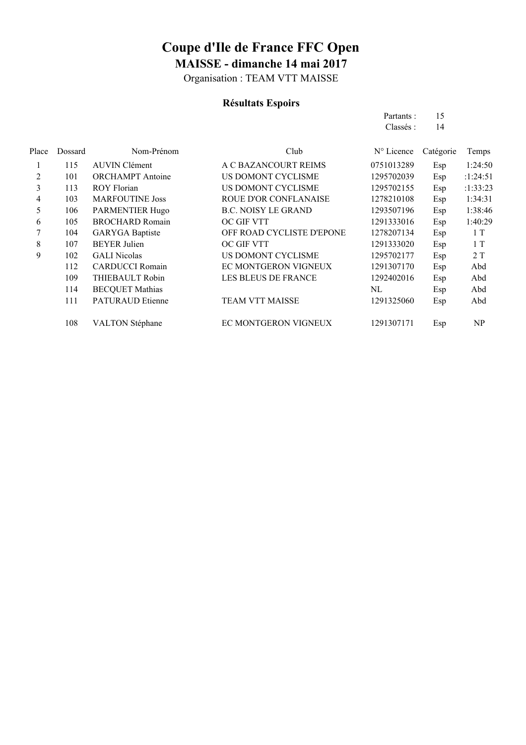Organisation : TEAM VTT MAISSE

### **Résultats Espoirs**

| Partants: | 15 |
|-----------|----|
| Classés:  | 14 |

| Place | Dossard | Nom-Prénom              | Club                       | $N^{\circ}$ Licence | Catégorie | Temps    |
|-------|---------|-------------------------|----------------------------|---------------------|-----------|----------|
|       | 115     | <b>AUVIN Clément</b>    | A C BAZANCOURT REIMS       | 0751013289          | Esp       | 1:24:50  |
| 2     | 101     | <b>ORCHAMPT</b> Antoine | US DOMONT CYCLISME         | 1295702039          | Esp       | :1:24:51 |
| 3     | 113     | <b>ROY Florian</b>      | US DOMONT CYCLISME         | 1295702155          | Esp       | :1:33:23 |
| 4     | 103     | <b>MARFOUTINE Joss</b>  | ROUE D'OR CONFLANAISE      | 1278210108          | Esp       | 1:34:31  |
| 5     | 106     | <b>PARMENTIER Hugo</b>  | <b>B.C. NOISY LE GRAND</b> | 1293507196          | Esp       | 1:38:46  |
| 6     | 105     | <b>BROCHARD Romain</b>  | <b>OC GIF VTT</b>          | 1291333016          | Esp       | 1:40:29  |
| 7     | 104     | <b>GARYGA</b> Baptiste  | OFF ROAD CYCLISTE D'EPONE  | 1278207134          | Esp       | 1T       |
| 8     | 107     | <b>BEYER Julien</b>     | OC GIF VTT                 | 1291333020          | Esp       | 1T       |
| 9     | 102     | <b>GALI</b> Nicolas     | US DOMONT CYCLISME         | 1295702177          | Esp       | 2T       |
|       | 112     | <b>CARDUCCI</b> Romain  | EC MONTGERON VIGNEUX       | 1291307170          | Esp       | Abd      |
|       | 109     | THIEBAULT Robin         | LES BLEUS DE FRANCE        | 1292402016          | Esp       | Abd      |
|       | 114     | <b>BECQUET Mathias</b>  |                            | NL                  | Esp       | Abd      |
|       | 111     | <b>PATURAUD Etienne</b> | <b>TEAM VTT MAISSE</b>     | 1291325060          | Esp       | Abd      |
|       | 108     | <b>VALTON Stéphane</b>  | EC MONTGERON VIGNEUX       | 1291307171          | Esp       | NP       |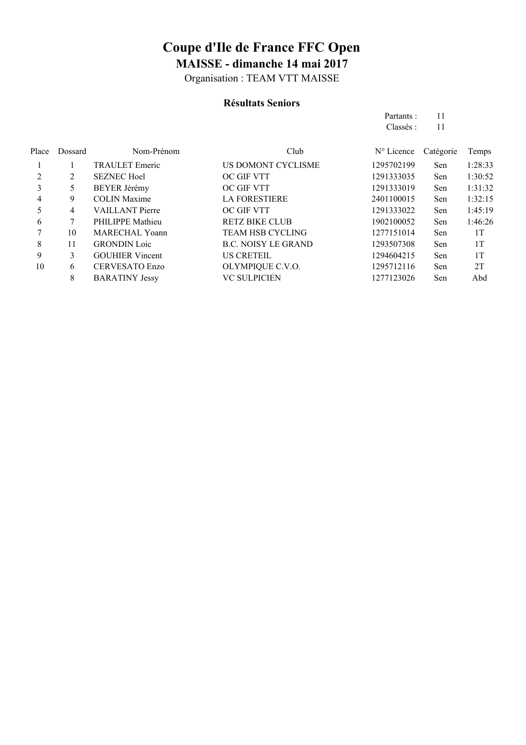Organisation : TEAM VTT MAISSE

#### **Résultats Seniors**

Partants : 11 Classés : 11

| Place | Dossard | Nom-Prénom             | Club                       | $N^{\circ}$ Licence | Catégorie | Temps   |
|-------|---------|------------------------|----------------------------|---------------------|-----------|---------|
|       |         | <b>TRAULET</b> Emeric  | US DOMONT CYCLISME         | 1295702199          | Sen       | 1:28:33 |
|       | 2       | <b>SEZNEC Hoel</b>     | OC GIF VTT                 | 1291333035          | Sen       | 1:30:52 |
| 3     | 5       | <b>BEYER Jérémy</b>    | OC GIF VTT                 | 1291333019          | Sen       | 1:31:32 |
| 4     | 9       | <b>COLIN Maxime</b>    | <b>LA FORESTIERE</b>       | 2401100015          | Sen       | 1:32:15 |
|       | 4       | <b>VAILLANT</b> Pierre | OC GIF VTT                 | 1291333022          | Sen       | 1:45:19 |
| 6     |         | PHILIPPE Mathieu       | <b>RETZ BIKE CLUB</b>      | 1902100052          | Sen       | 1:46:26 |
|       | 10      | MARECHAL Yoann         | <b>TEAM HSB CYCLING</b>    | 1277151014          | Sen       | 1T      |
| 8     | 11      | <b>GRONDIN</b> Loic    | <b>B.C. NOISY LE GRAND</b> | 1293507308          | Sen       | 1T      |
| 9     | 3       | <b>GOUHIER Vincent</b> | <b>US CRETEIL</b>          | 1294604215          | Sen       | 1T      |
| 10    | 6       | <b>CERVESATO Enzo</b>  | OLYMPIQUE C.V.O.           | 1295712116          | Sen       | 2T      |
|       | 8       | <b>BARATINY Jessy</b>  | <b>VC SULPICIEN</b>        | 1277123026          | Sen       | Abd     |
|       |         |                        |                            |                     |           |         |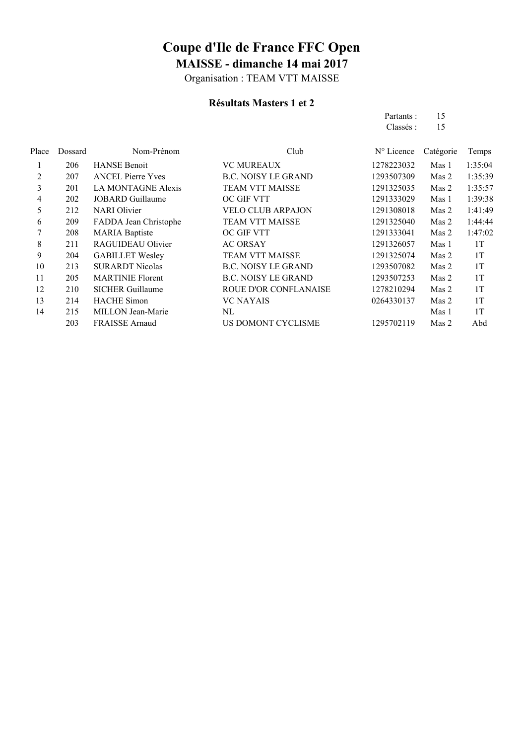Organisation : TEAM VTT MAISSE

### **Résultats Masters 1 et 2**

|       |         |                           |                            | Partants:           | 15        |         |
|-------|---------|---------------------------|----------------------------|---------------------|-----------|---------|
|       |         |                           |                            | Classés :           | 15        |         |
| Place | Dossard | Nom-Prénom                | Club                       | $N^{\circ}$ Licence | Catégorie | Temps   |
| 1     | 206     | <b>HANSE Benoit</b>       | <b>VC MUREAUX</b>          | 1278223032          | Mas 1     | 1:35:04 |
| 2     | 207     | <b>ANCEL Pierre Yves</b>  | <b>B.C. NOISY LE GRAND</b> | 1293507309          | Mas 2     | 1:35:39 |
| 3     | 201     | <b>LA MONTAGNE Alexis</b> | <b>TEAM VTT MAISSE</b>     | 1291325035          | Mas 2     | 1:35:57 |
| 4     | 202     | <b>JOBARD</b> Guillaume   | OC GIF VTT                 | 1291333029          | Mas 1     | 1:39:38 |
| 5     | 212     | <b>NARI</b> Olivier       | <b>VELO CLUB ARPAJON</b>   | 1291308018          | Mas 2     | 1:41:49 |
| 6     | 209     | FADDA Jean Christophe     | <b>TEAM VTT MAISSE</b>     | 1291325040          | Mas 2     | 1:44:44 |
| 7     | 208     | <b>MARIA</b> Baptiste     | <b>OC GIF VTT</b>          | 1291333041          | Mas 2     | 1:47:02 |
| 8     | 211     | RAGUIDEAU Olivier         | <b>AC ORSAY</b>            | 1291326057          | Mas 1     | 1T      |
| 9     | 204     | <b>GABILLET Wesley</b>    | <b>TEAM VTT MAISSE</b>     | 1291325074          | Mas 2     | 1T      |
| 10    | 213     | <b>SURARDT Nicolas</b>    | <b>B.C. NOISY LE GRAND</b> | 1293507082          | Mas 2     | 1T      |
| 11    | 205     | <b>MARTINIE Florent</b>   | <b>B.C. NOISY LE GRAND</b> | 1293507253          | Mas 2     | 1T      |
| 12    | 210     | <b>SICHER Guillaume</b>   | ROUE D'OR CONFLANAISE      | 1278210294          | Mas 2     | 1T      |
| 13    | 214     | <b>HACHE</b> Simon        | <b>VC NAYAIS</b>           | 0264330137          | Mas 2     | 1T      |
| 14    | 215     | MILLON Jean-Marie         | NL                         |                     | Mas 1     | 1T      |
|       | 203     | <b>FRAISSE</b> Arnaud     | US DOMONT CYCLISME         | 1295702119          | Mas 2     | Abd     |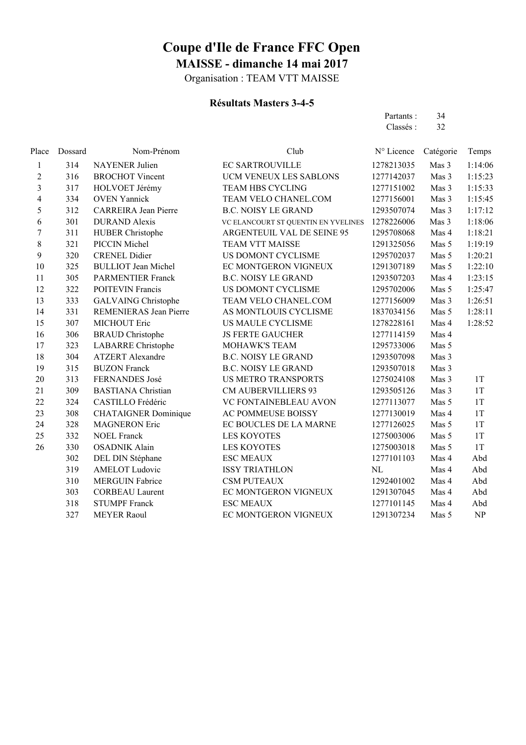Organisation : TEAM VTT MAISSE

### **Résultats Masters 3-4-5**

| Partants : | 34 |
|------------|----|
| Classés :  | 32 |

| Place                   | Dossard | Nom-Prénom                    | Club                                | N° Licence | Catégorie | Temps   |
|-------------------------|---------|-------------------------------|-------------------------------------|------------|-----------|---------|
| 1                       | 314     | <b>NAYENER</b> Julien         | <b>EC SARTROUVILLE</b>              | 1278213035 | Mas 3     | 1:14:06 |
| 2                       | 316     | <b>BROCHOT Vincent</b>        | UCM VENEUX LES SABLONS              | 1277142037 | Mas 3     | 1:15:23 |
| $\overline{\mathbf{3}}$ | 317     | HOLVOET Jérémy                | <b>TEAM HBS CYCLING</b>             | 1277151002 | Mas 3     | 1:15:33 |
| 4                       | 334     | <b>OVEN Yannick</b>           | TEAM VELO CHANEL.COM                | 1277156001 | Mas 3     | 1:15:45 |
| 5                       | 312     | <b>CARREIRA</b> Jean Pierre   | <b>B.C. NOISY LE GRAND</b>          | 1293507074 | Mas 3     | 1:17:12 |
| 6                       | 301     | <b>DURAND</b> Alexis          | VC ELANCOURT ST QUENTIN EN YVELINES | 1278226006 | Mas 3     | 1:18:06 |
| $\overline{7}$          | 311     | <b>HUBER Christophe</b>       | ARGENTEUIL VAL DE SEINE 95          | 1295708068 | Mas 4     | 1:18:21 |
| 8                       | 321     | PICCIN Michel                 | <b>TEAM VTT MAISSE</b>              | 1291325056 | Mas 5     | 1:19:19 |
| 9                       | 320     | <b>CRENEL Didier</b>          | US DOMONT CYCLISME                  | 1295702037 | Mas 5     | 1:20:21 |
| 10                      | 325     | <b>BULLIOT</b> Jean Michel    | EC MONTGERON VIGNEUX                | 1291307189 | Mas 5     | 1:22:10 |
| 11                      | 305     | <b>PARMENTIER Franck</b>      | <b>B.C. NOISY LE GRAND</b>          | 1293507203 | Mas 4     | 1:23:15 |
| 12                      | 322     | <b>POITEVIN Francis</b>       | US DOMONT CYCLISME                  | 1295702006 | Mas 5     | 1:25:47 |
| 13                      | 333     | <b>GALVAING Christophe</b>    | TEAM VELO CHANEL.COM                | 1277156009 | Mas 3     | 1:26:51 |
| 14                      | 331     | <b>REMENIERAS Jean Pierre</b> | AS MONTLOUIS CYCLISME               | 1837034156 | Mas 5     | 1:28:11 |
| 15                      | 307     | <b>MICHOUT Eric</b>           | US MAULE CYCLISME                   | 1278228161 | Mas 4     | 1:28:52 |
| 16                      | 306     | <b>BRAUD</b> Christophe       | <b>JS FERTE GAUCHER</b>             | 1277114159 | Mas 4     |         |
| 17                      | 323     | <b>LABARRE</b> Christophe     | <b>MOHAWK'S TEAM</b>                | 1295733006 | Mas 5     |         |
| 18                      | 304     | <b>ATZERT</b> Alexandre       | <b>B.C. NOISY LE GRAND</b>          | 1293507098 | Mas 3     |         |
| 19                      | 315     | <b>BUZON Franck</b>           | <b>B.C. NOISY LE GRAND</b>          | 1293507018 | Mas 3     |         |
| 20                      | 313     | <b>FERNANDES José</b>         | <b>US METRO TRANSPORTS</b>          | 1275024108 | Mas 3     | 1T      |
| 21                      | 309     | <b>BASTIANA</b> Christian     | <b>CM AUBERVILLIERS 93</b>          | 1293505126 | Mas 3     | 1T      |
| 22                      | 324     | CASTILLO Frédéric             | VC FONTAINEBLEAU AVON               | 1277113077 | Mas 5     | 1T      |
| 23                      | 308     | <b>CHATAIGNER Dominique</b>   | AC POMMEUSE BOISSY                  | 1277130019 | Mas 4     | 1T      |
| 24                      | 328     | <b>MAGNERON Eric</b>          | EC BOUCLES DE LA MARNE              | 1277126025 | Mas 5     | 1T      |
| 25                      | 332     | <b>NOEL Franck</b>            | <b>LES KOYOTES</b>                  | 1275003006 | Mas 5     | 1T      |
| 26                      | 330     | <b>OSADNIK Alain</b>          | <b>LES KOYOTES</b>                  | 1275003018 | Mas 5     | 1T      |
|                         | 302     | DEL DIN Stéphane              | <b>ESC MEAUX</b>                    | 1277101103 | Mas 4     | Abd     |
|                         | 319     | <b>AMELOT Ludovic</b>         | <b>ISSY TRIATHLON</b>               | NL         | Mas 4     | Abd     |
|                         | 310     | <b>MERGUIN Fabrice</b>        | <b>CSM PUTEAUX</b>                  | 1292401002 | Mas 4     | Abd     |
|                         | 303     | <b>CORBEAU Laurent</b>        | EC MONTGERON VIGNEUX                | 1291307045 | Mas 4     | Abd     |
|                         | 318     | <b>STUMPF Franck</b>          | <b>ESC MEAUX</b>                    | 1277101145 | Mas 4     | Abd     |
|                         | 327     | <b>MEYER Raoul</b>            | EC MONTGERON VIGNEUX                | 1291307234 | Mas 5     | NP      |